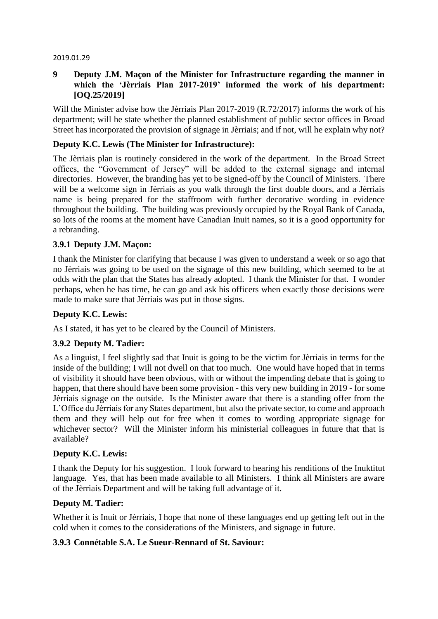#### 2019.01.29

# **9 Deputy J.M. Maçon of the Minister for Infrastructure regarding the manner in which the 'Jèrriais Plan 2017-2019' informed the work of his department: [OQ.25/2019]**

Will the Minister advise how the Jèrriais Plan 2017-2019 (R.72/2017) informs the work of his department; will he state whether the planned establishment of public sector offices in Broad Street has incorporated the provision of signage in Jèrriais; and if not, will he explain why not?

## **Deputy K.C. Lewis (The Minister for Infrastructure):**

The Jèrriais plan is routinely considered in the work of the department. In the Broad Street offices, the "Government of Jersey" will be added to the external signage and internal directories. However, the branding has yet to be signed-off by the Council of Ministers. There will be a welcome sign in Jèrriais as you walk through the first double doors, and a Jèrriais name is being prepared for the staffroom with further decorative wording in evidence throughout the building. The building was previously occupied by the Royal Bank of Canada, so lots of the rooms at the moment have Canadian Inuit names, so it is a good opportunity for a rebranding.

### **3.9.1 Deputy J.M. Maçon:**

I thank the Minister for clarifying that because I was given to understand a week or so ago that no Jèrriais was going to be used on the signage of this new building, which seemed to be at odds with the plan that the States has already adopted. I thank the Minister for that. I wonder perhaps, when he has time, he can go and ask his officers when exactly those decisions were made to make sure that Jèrriais was put in those signs.

### **Deputy K.C. Lewis:**

As I stated, it has yet to be cleared by the Council of Ministers.

# **3.9.2 Deputy M. Tadier:**

As a linguist, I feel slightly sad that Inuit is going to be the victim for Jèrriais in terms for the inside of the building; I will not dwell on that too much. One would have hoped that in terms of visibility it should have been obvious, with or without the impending debate that is going to happen, that there should have been some provision - this very new building in 2019 - for some Jèrriais signage on the outside. Is the Minister aware that there is a standing offer from the L'Office du Jèrriais for any States department, but also the private sector, to come and approach them and they will help out for free when it comes to wording appropriate signage for whichever sector? Will the Minister inform his ministerial colleagues in future that that is available?

### **Deputy K.C. Lewis:**

I thank the Deputy for his suggestion. I look forward to hearing his renditions of the Inuktitut language. Yes, that has been made available to all Ministers. I think all Ministers are aware of the Jèrriais Department and will be taking full advantage of it.

### **Deputy M. Tadier:**

Whether it is Inuit or Jèrriais, I hope that none of these languages end up getting left out in the cold when it comes to the considerations of the Ministers, and signage in future.

### **3.9.3 Connétable S.A. Le Sueur-Rennard of St. Saviour:**